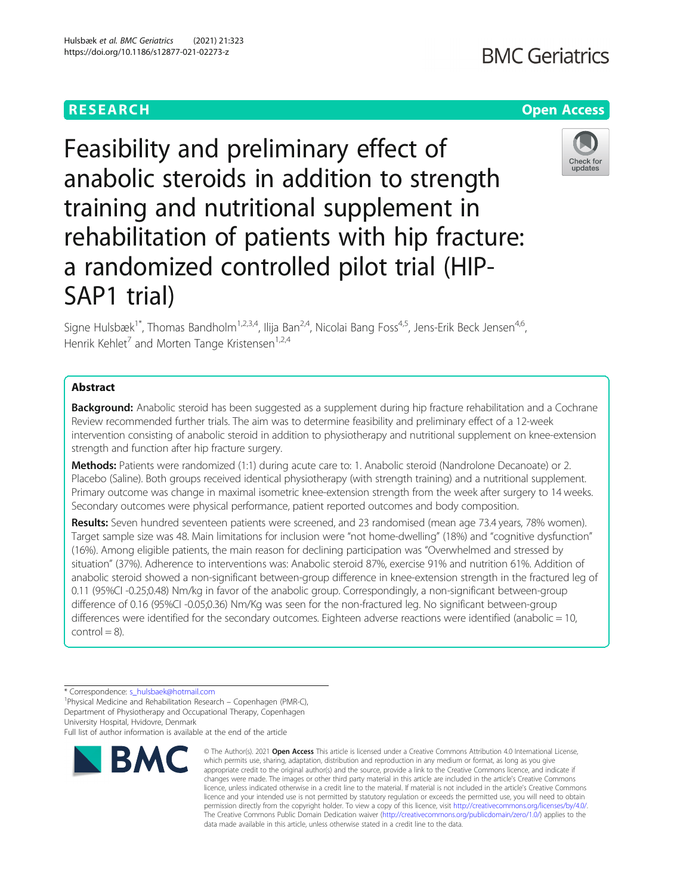# **RESEARCH CHE Open Access**

# Feasibility and preliminary effect of anabolic steroids in addition to strength training and nutritional supplement in rehabilitation of patients with hip fracture: a randomized controlled pilot trial (HIP-SAP1 trial)

Signe Hulsbæk<sup>1\*</sup>, Thomas Bandholm<sup>1,2,3,4</sup>, Ilija Ban<sup>2,4</sup>, Nicolai Bang Foss<sup>4,5</sup>, Jens-Erik Beck Jensen<sup>4,6</sup>, Henrik Kehlet<sup>7</sup> and Morten Tange Kristensen<sup>1,2,4</sup>

# Abstract

**Background:** Anabolic steroid has been suggested as a supplement during hip fracture rehabilitation and a Cochrane Review recommended further trials. The aim was to determine feasibility and preliminary effect of a 12-week intervention consisting of anabolic steroid in addition to physiotherapy and nutritional supplement on knee-extension strength and function after hip fracture surgery.

Methods: Patients were randomized (1:1) during acute care to: 1. Anabolic steroid (Nandrolone Decanoate) or 2. Placebo (Saline). Both groups received identical physiotherapy (with strength training) and a nutritional supplement. Primary outcome was change in maximal isometric knee-extension strength from the week after surgery to 14 weeks. Secondary outcomes were physical performance, patient reported outcomes and body composition.

Results: Seven hundred seventeen patients were screened, and 23 randomised (mean age 73.4 years, 78% women). Target sample size was 48. Main limitations for inclusion were "not home-dwelling" (18%) and "cognitive dysfunction" (16%). Among eligible patients, the main reason for declining participation was "Overwhelmed and stressed by situation" (37%). Adherence to interventions was: Anabolic steroid 87%, exercise 91% and nutrition 61%. Addition of anabolic steroid showed a non-significant between-group difference in knee-extension strength in the fractured leg of 0.11 (95%CI -0.25;0.48) Nm/kg in favor of the anabolic group. Correspondingly, a non-significant between-group difference of 0.16 (95%CI -0.05;0.36) Nm/Kg was seen for the non-fractured leg. No significant between-group differences were identified for the secondary outcomes. Eighteen adverse reactions were identified (anabolic = 10,  $control = 8$ ).

\* Correspondence: [s\\_hulsbaek@hotmail.com](mailto:s_hulsbaek@hotmail.com) <sup>1</sup>

Physical Medicine and Rehabilitation Research – Copenhagen (PMR-C), Department of Physiotherapy and Occupational Therapy, Copenhagen University Hospital, Hvidovre, Denmark

Full list of author information is available at the end of the article

# Hulsbæk et al. BMC Geriatrics (2021) 21:323 https://doi.org/10.1186/s12877-021-02273-z



<sup>©</sup> The Author(s), 2021 **Open Access** This article is licensed under a Creative Commons Attribution 4.0 International License, which permits use, sharing, adaptation, distribution and reproduction in any medium or format, as long as you give appropriate credit to the original author(s) and the source, provide a link to the Creative Commons licence, and indicate if changes were made. The images or other third party material in this article are included in the article's Creative Commons licence, unless indicated otherwise in a credit line to the material. If material is not included in the article's Creative Commons licence and your intended use is not permitted by statutory regulation or exceeds the permitted use, you will need to obtain permission directly from the copyright holder. To view a copy of this licence, visit [http://creativecommons.org/licenses/by/4.0/.](http://creativecommons.org/licenses/by/4.0/) The Creative Commons Public Domain Dedication waiver [\(http://creativecommons.org/publicdomain/zero/1.0/](http://creativecommons.org/publicdomain/zero/1.0/)) applies to the data made available in this article, unless otherwise stated in a credit line to the data.



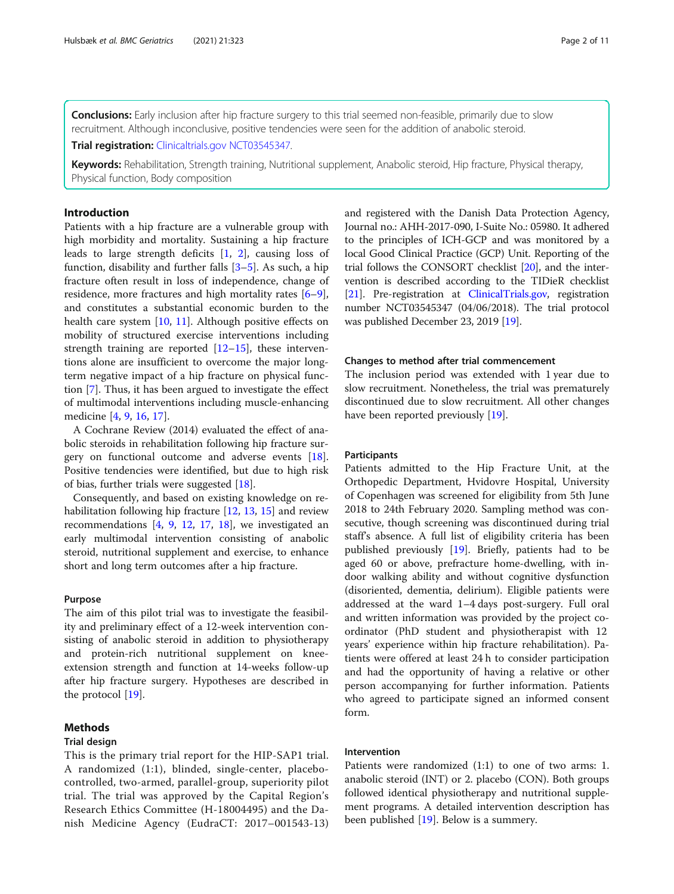Conclusions: Early inclusion after hip fracture surgery to this trial seemed non-feasible, primarily due to slow recruitment. Although inconclusive, positive tendencies were seen for the addition of anabolic steroid.

**Trial registration: [Clinicaltrials.gov](http://clinicaltrials.gov) [NCT03545347.](https://clinicaltrials.gov/ct2/show/NCT03545347?term=NCT03545347.&draw=2&rank=1)** 

Keywords: Rehabilitation, Strength training, Nutritional supplement, Anabolic steroid, Hip fracture, Physical therapy, Physical function, Body composition

# Introduction

Patients with a hip fracture are a vulnerable group with high morbidity and mortality. Sustaining a hip fracture leads to large strength deficits [[1,](#page-9-0) [2](#page-9-0)], causing loss of function, disability and further falls [[3](#page-9-0)–[5\]](#page-9-0). As such, a hip fracture often result in loss of independence, change of residence, more fractures and high mortality rates [\[6](#page-9-0)–[9](#page-9-0)], and constitutes a substantial economic burden to the health care system [[10,](#page-9-0) [11](#page-9-0)]. Although positive effects on mobility of structured exercise interventions including strength training are reported  $[12-15]$  $[12-15]$  $[12-15]$  $[12-15]$  $[12-15]$ , these interventions alone are insufficient to overcome the major longterm negative impact of a hip fracture on physical function [[7\]](#page-9-0). Thus, it has been argued to investigate the effect of multimodal interventions including muscle-enhancing medicine [[4,](#page-9-0) [9,](#page-9-0) [16,](#page-9-0) [17\]](#page-9-0).

A Cochrane Review (2014) evaluated the effect of anabolic steroids in rehabilitation following hip fracture surgery on functional outcome and adverse events [\[18](#page-9-0)]. Positive tendencies were identified, but due to high risk of bias, further trials were suggested [[18\]](#page-9-0).

Consequently, and based on existing knowledge on rehabilitation following hip fracture [[12](#page-9-0), [13](#page-9-0), [15](#page-9-0)] and review recommendations [[4,](#page-9-0) [9,](#page-9-0) [12](#page-9-0), [17,](#page-9-0) [18\]](#page-9-0), we investigated an early multimodal intervention consisting of anabolic steroid, nutritional supplement and exercise, to enhance short and long term outcomes after a hip fracture.

#### Purpose

The aim of this pilot trial was to investigate the feasibility and preliminary effect of a 12-week intervention consisting of anabolic steroid in addition to physiotherapy and protein-rich nutritional supplement on kneeextension strength and function at 14-weeks follow-up after hip fracture surgery. Hypotheses are described in the protocol [[19\]](#page-9-0).

# Methods

### Trial design

This is the primary trial report for the HIP-SAP1 trial. A randomized (1:1), blinded, single-center, placebocontrolled, two-armed, parallel-group, superiority pilot trial. The trial was approved by the Capital Region's Research Ethics Committee (H-18004495) and the Danish Medicine Agency (EudraCT: 2017–001543-13)

and registered with the Danish Data Protection Agency, Journal no.: AHH-2017-090, I-Suite No.: 05980. It adhered to the principles of ICH-GCP and was monitored by a local Good Clinical Practice (GCP) Unit. Reporting of the trial follows the CONSORT checklist [\[20](#page-9-0)], and the intervention is described according to the TIDieR checklist [[21](#page-9-0)]. Pre-registration at [ClinicalTrials.gov,](http://clinicaltrials.gov) registration number NCT03545347 (04/06/2018). The trial protocol was published December 23, 2019 [\[19](#page-9-0)].

#### Changes to method after trial commencement

The inclusion period was extended with 1 year due to slow recruitment. Nonetheless, the trial was prematurely discontinued due to slow recruitment. All other changes have been reported previously [[19\]](#page-9-0).

# **Participants**

Patients admitted to the Hip Fracture Unit, at the Orthopedic Department, Hvidovre Hospital, University of Copenhagen was screened for eligibility from 5th June 2018 to 24th February 2020. Sampling method was consecutive, though screening was discontinued during trial staff's absence. A full list of eligibility criteria has been published previously [[19\]](#page-9-0). Briefly, patients had to be aged 60 or above, prefracture home-dwelling, with indoor walking ability and without cognitive dysfunction (disoriented, dementia, delirium). Eligible patients were addressed at the ward 1–4 days post-surgery. Full oral and written information was provided by the project coordinator (PhD student and physiotherapist with 12 years' experience within hip fracture rehabilitation). Patients were offered at least 24 h to consider participation and had the opportunity of having a relative or other person accompanying for further information. Patients who agreed to participate signed an informed consent form.

# Intervention

Patients were randomized (1:1) to one of two arms: 1. anabolic steroid (INT) or 2. placebo (CON). Both groups followed identical physiotherapy and nutritional supplement programs. A detailed intervention description has been published [[19](#page-9-0)]. Below is a summery.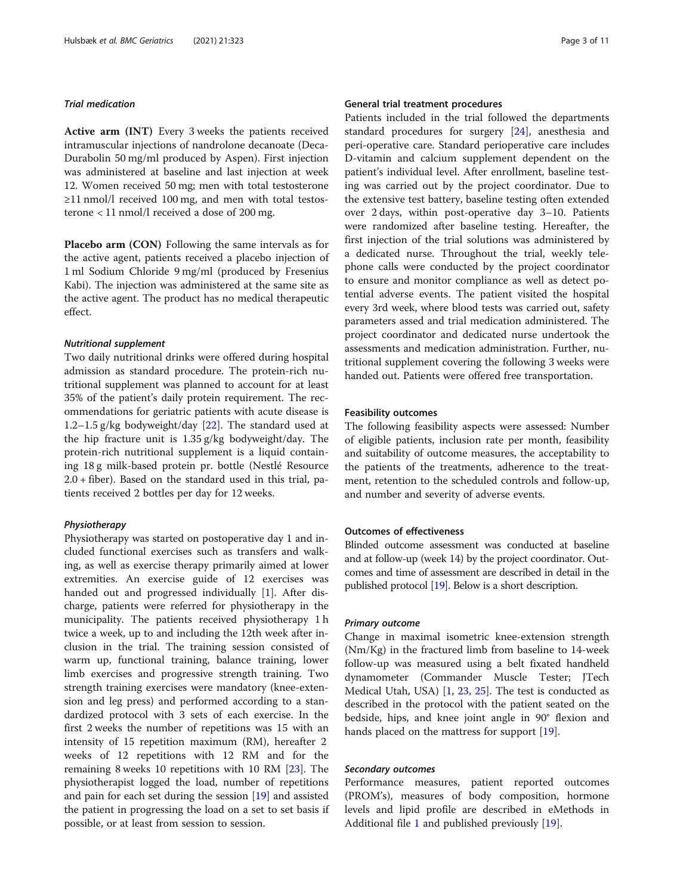# Trial medication

Active arm (INT) Every 3 weeks the patients received intramuscular injections of nandrolone decanoate (Deca-Durabolin 50 mg/ml produced by Aspen). First injection was administered at baseline and last injection at week 12. Women received 50 mg; men with total testosterone ≥11 nmol/l received 100 mg, and men with total testosterone < 11 nmol/l received a dose of 200 mg.

Placebo arm (CON) Following the same intervals as for the active agent, patients received a placebo injection of 1 ml Sodium Chloride 9 mg/ml (produced by Fresenius Kabi). The injection was administered at the same site as the active agent. The product has no medical therapeutic effect.

# Nutritional supplement

Two daily nutritional drinks were offered during hospital admission as standard procedure. The protein-rich nutritional supplement was planned to account for at least 35% of the patient's daily protein requirement. The recommendations for geriatric patients with acute disease is 1.2–1.5 g/kg bodyweight/day [[22\]](#page-9-0). The standard used at the hip fracture unit is 1.35 g/kg bodyweight/day. The protein-rich nutritional supplement is a liquid containing 18 g milk-based protein pr. bottle (Nestlé Resource 2.0 + fiber). Based on the standard used in this trial, patients received 2 bottles per day for 12 weeks.

#### Physiotherapy

Physiotherapy was started on postoperative day 1 and included functional exercises such as transfers and walking, as well as exercise therapy primarily aimed at lower extremities. An exercise guide of 12 exercises was handed out and progressed individually [\[1](#page-9-0)]. After discharge, patients were referred for physiotherapy in the municipality. The patients received physiotherapy 1 h twice a week, up to and including the 12th week after inclusion in the trial. The training session consisted of warm up, functional training, balance training, lower limb exercises and progressive strength training. Two strength training exercises were mandatory (knee-extension and leg press) and performed according to a standardized protocol with 3 sets of each exercise. In the first 2 weeks the number of repetitions was 15 with an intensity of 15 repetition maximum (RM), hereafter 2 weeks of 12 repetitions with 12 RM and for the remaining 8 weeks 10 repetitions with 10 RM [\[23](#page-10-0)]. The physiotherapist logged the load, number of repetitions and pain for each set during the session [[19\]](#page-9-0) and assisted the patient in progressing the load on a set to set basis if possible, or at least from session to session.

## General trial treatment procedures

Patients included in the trial followed the departments standard procedures for surgery [[24](#page-10-0)], anesthesia and peri-operative care. Standard perioperative care includes D-vitamin and calcium supplement dependent on the patient's individual level. After enrollment, baseline testing was carried out by the project coordinator. Due to the extensive test battery, baseline testing often extended over 2 days, within post-operative day 3–10. Patients were randomized after baseline testing. Hereafter, the first injection of the trial solutions was administered by a dedicated nurse. Throughout the trial, weekly telephone calls were conducted by the project coordinator to ensure and monitor compliance as well as detect potential adverse events. The patient visited the hospital every 3rd week, where blood tests was carried out, safety parameters assed and trial medication administered. The project coordinator and dedicated nurse undertook the assessments and medication administration. Further, nutritional supplement covering the following 3 weeks were handed out. Patients were offered free transportation.

# Feasibility outcomes

The following feasibility aspects were assessed: Number of eligible patients, inclusion rate per month, feasibility and suitability of outcome measures, the acceptability to the patients of the treatments, adherence to the treatment, retention to the scheduled controls and follow-up, and number and severity of adverse events.

# Outcomes of effectiveness

Blinded outcome assessment was conducted at baseline and at follow-up (week 14) by the project coordinator. Outcomes and time of assessment are described in detail in the published protocol [[19](#page-9-0)]. Below is a short description.

#### Primary outcome

Change in maximal isometric knee-extension strength (Nm/Kg) in the fractured limb from baseline to 14-week follow-up was measured using a belt fixated handheld dynamometer (Commander Muscle Tester; JTech Medical Utah, USA) [\[1](#page-9-0), [23](#page-10-0), [25\]](#page-10-0). The test is conducted as described in the protocol with the patient seated on the bedside, hips, and knee joint angle in 90° flexion and hands placed on the mattress for support [[19\]](#page-9-0).

#### Secondary outcomes

Performance measures, patient reported outcomes (PROM's), measures of body composition, hormone levels and lipid profile are described in eMethods in Additional file [1](#page-8-0) and published previously [[19\]](#page-9-0).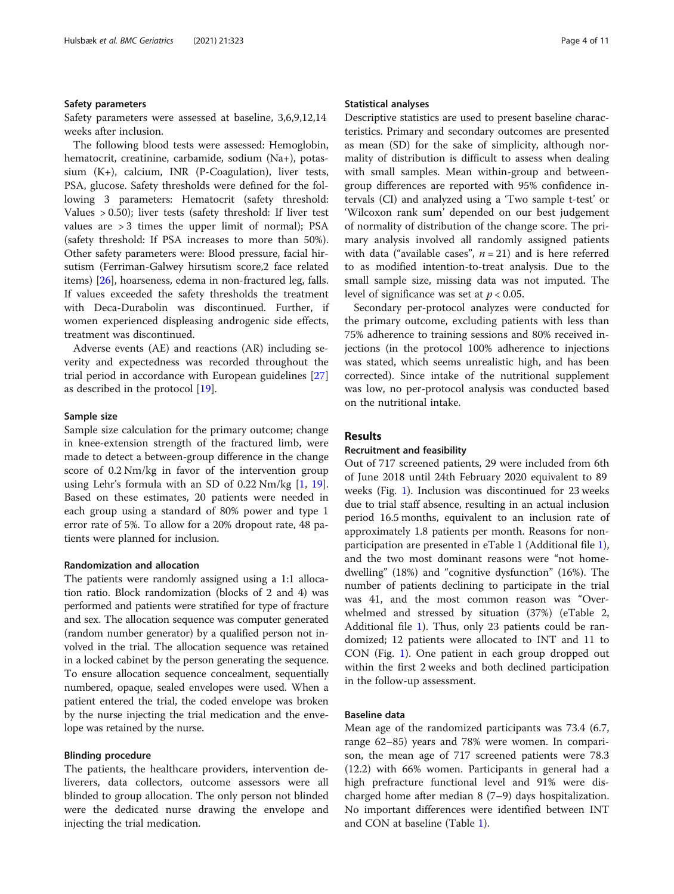#### Safety parameters

Safety parameters were assessed at baseline, 3,6,9,12,14 weeks after inclusion.

The following blood tests were assessed: Hemoglobin, hematocrit, creatinine, carbamide, sodium (Na+), potassium (K+), calcium, INR (P-Coagulation), liver tests, PSA, glucose. Safety thresholds were defined for the following 3 parameters: Hematocrit (safety threshold: Values > 0.50); liver tests (safety threshold: If liver test values are  $> 3$  times the upper limit of normal); PSA (safety threshold: If PSA increases to more than 50%). Other safety parameters were: Blood pressure, facial hirsutism (Ferriman-Galwey hirsutism score,2 face related items) [\[26\]](#page-10-0), hoarseness, edema in non-fractured leg, falls. If values exceeded the safety thresholds the treatment with Deca-Durabolin was discontinued. Further, if women experienced displeasing androgenic side effects, treatment was discontinued.

Adverse events (AE) and reactions (AR) including severity and expectedness was recorded throughout the trial period in accordance with European guidelines [[27](#page-10-0)] as described in the protocol [[19\]](#page-9-0).

#### Sample size

Sample size calculation for the primary outcome; change in knee-extension strength of the fractured limb, were made to detect a between-group difference in the change score of 0.2 Nm/kg in favor of the intervention group using Lehr's formula with an SD of 0.22 Nm/kg [[1](#page-9-0), [19](#page-9-0)]. Based on these estimates, 20 patients were needed in each group using a standard of 80% power and type 1 error rate of 5%. To allow for a 20% dropout rate, 48 patients were planned for inclusion.

#### Randomization and allocation

The patients were randomly assigned using a 1:1 allocation ratio. Block randomization (blocks of 2 and 4) was performed and patients were stratified for type of fracture and sex. The allocation sequence was computer generated (random number generator) by a qualified person not involved in the trial. The allocation sequence was retained in a locked cabinet by the person generating the sequence. To ensure allocation sequence concealment, sequentially numbered, opaque, sealed envelopes were used. When a patient entered the trial, the coded envelope was broken by the nurse injecting the trial medication and the envelope was retained by the nurse.

#### Blinding procedure

The patients, the healthcare providers, intervention deliverers, data collectors, outcome assessors were all blinded to group allocation. The only person not blinded were the dedicated nurse drawing the envelope and injecting the trial medication.

#### Statistical analyses

Descriptive statistics are used to present baseline characteristics. Primary and secondary outcomes are presented as mean (SD) for the sake of simplicity, although normality of distribution is difficult to assess when dealing with small samples. Mean within-group and betweengroup differences are reported with 95% confidence intervals (CI) and analyzed using a 'Two sample t-test' or 'Wilcoxon rank sum' depended on our best judgement of normality of distribution of the change score. The primary analysis involved all randomly assigned patients with data ("available cases",  $n = 21$ ) and is here referred to as modified intention-to-treat analysis. Due to the small sample size, missing data was not imputed. The level of significance was set at  $p < 0.05$ .

Secondary per-protocol analyzes were conducted for the primary outcome, excluding patients with less than 75% adherence to training sessions and 80% received injections (in the protocol 100% adherence to injections was stated, which seems unrealistic high, and has been corrected). Since intake of the nutritional supplement was low, no per-protocol analysis was conducted based on the nutritional intake.

## Results

# Recruitment and feasibility

Out of 717 screened patients, 29 were included from 6th of June 2018 until 24th February 2020 equivalent to 89 weeks (Fig. [1\)](#page-4-0). Inclusion was discontinued for 23 weeks due to trial staff absence, resulting in an actual inclusion period 16.5 months, equivalent to an inclusion rate of approximately 1.8 patients per month. Reasons for nonparticipation are presented in eTable 1 (Additional file [1](#page-8-0)), and the two most dominant reasons were "not homedwelling" (18%) and "cognitive dysfunction" (16%). The number of patients declining to participate in the trial was 41, and the most common reason was "Overwhelmed and stressed by situation (37%) (eTable 2, Additional file [1](#page-8-0)). Thus, only 23 patients could be randomized; 12 patients were allocated to INT and 11 to CON (Fig. [1](#page-4-0)). One patient in each group dropped out within the first 2 weeks and both declined participation in the follow-up assessment.

## Baseline data

Mean age of the randomized participants was 73.4 (6.7, range 62–85) years and 78% were women. In comparison, the mean age of 717 screened patients were 78.3 (12.2) with 66% women. Participants in general had a high prefracture functional level and 91% were discharged home after median 8 (7–9) days hospitalization. No important differences were identified between INT and CON at baseline (Table [1\)](#page-5-0).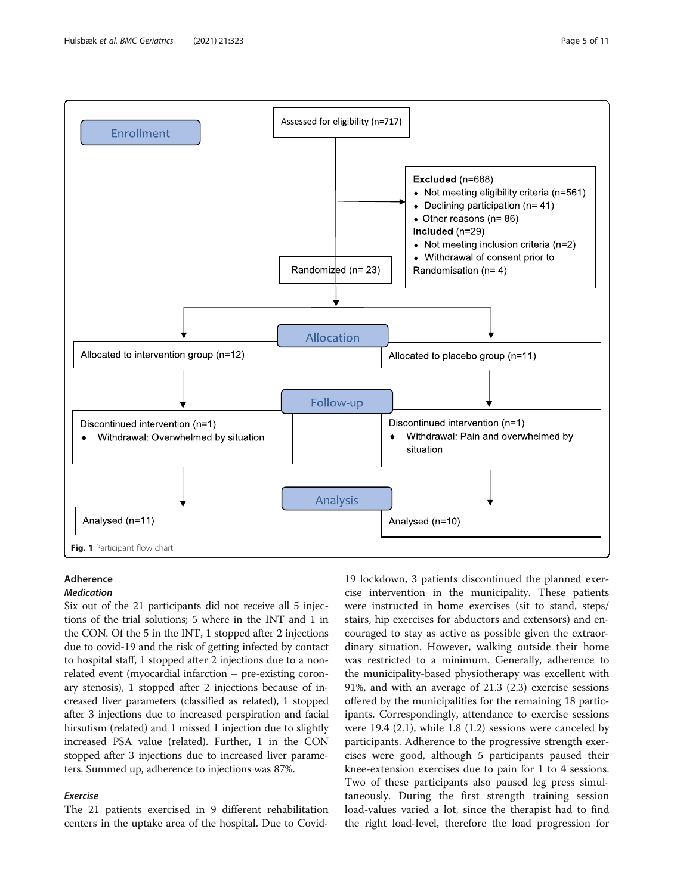<span id="page-4-0"></span>

# Adherence

#### Medication

Six out of the 21 participants did not receive all 5 injections of the trial solutions; 5 where in the INT and 1 in the CON. Of the 5 in the INT, 1 stopped after 2 injections due to covid-19 and the risk of getting infected by contact to hospital staff, 1 stopped after 2 injections due to a nonrelated event (myocardial infarction – pre-existing coronary stenosis), 1 stopped after 2 injections because of increased liver parameters (classified as related), 1 stopped after 3 injections due to increased perspiration and facial hirsutism (related) and 1 missed 1 injection due to slightly increased PSA value (related). Further, 1 in the CON stopped after 3 injections due to increased liver parameters. Summed up, adherence to injections was 87%.

# Exercise

The 21 patients exercised in 9 different rehabilitation centers in the uptake area of the hospital. Due to Covid-

19 lockdown, 3 patients discontinued the planned exercise intervention in the municipality. These patients were instructed in home exercises (sit to stand, steps/ stairs, hip exercises for abductors and extensors) and encouraged to stay as active as possible given the extraordinary situation. However, walking outside their home was restricted to a minimum. Generally, adherence to the municipality-based physiotherapy was excellent with 91%, and with an average of 21.3 (2.3) exercise sessions offered by the municipalities for the remaining 18 participants. Correspondingly, attendance to exercise sessions were 19.4 (2.1), while 1.8 (1.2) sessions were canceled by participants. Adherence to the progressive strength exercises were good, although 5 participants paused their knee-extension exercises due to pain for 1 to 4 sessions. Two of these participants also paused leg press simultaneously. During the first strength training session load-values varied a lot, since the therapist had to find the right load-level, therefore the load progression for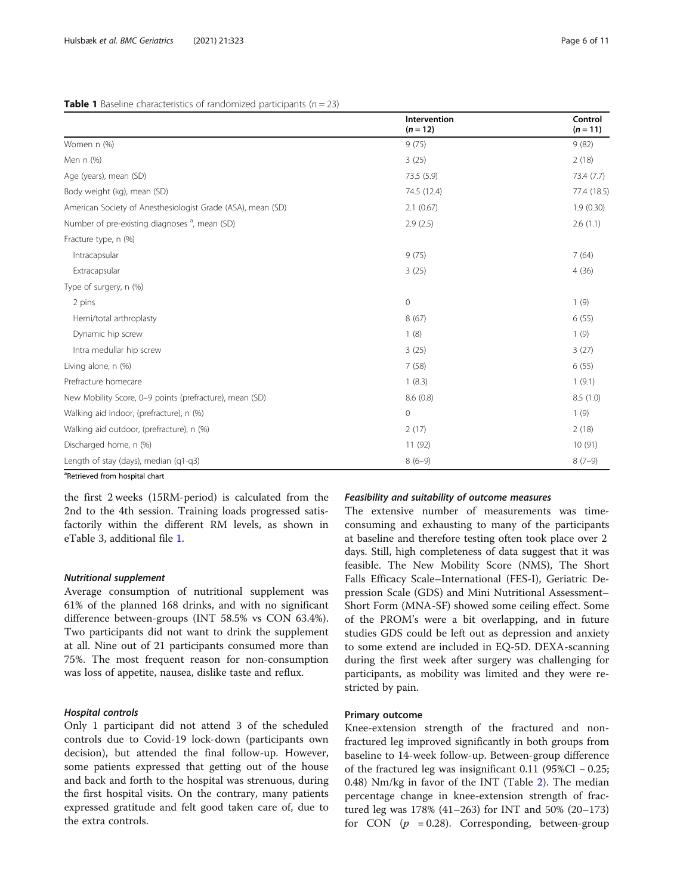|                                                             | Intervention<br>$(n = 12)$ | Control<br>$(n = 11)$ |
|-------------------------------------------------------------|----------------------------|-----------------------|
| Women n (%)                                                 | 9(75)                      | 9(82)                 |
| Men n (%)                                                   | 3(25)                      | 2(18)                 |
| Age (years), mean (SD)                                      | 73.5 (5.9)                 | 73.4(7.7)             |
| Body weight (kg), mean (SD)                                 | 74.5 (12.4)                | 77.4 (18.5)           |
| American Society of Anesthesiologist Grade (ASA), mean (SD) | 2.1(0.67)                  | 1.9(0.30)             |
| Number of pre-existing diagnoses <sup>a</sup> , mean (SD)   | 2.9(2.5)                   | 2.6(1.1)              |
| Fracture type, n (%)                                        |                            |                       |
| Intracapsular                                               | 9(75)                      | 7(64)                 |
| Extracapsular                                               | 3(25)                      | 4(36)                 |
| Type of surgery, n (%)                                      |                            |                       |
| 2 pins                                                      | $\mathbf{0}$               | 1(9)                  |
| Hemi/total arthroplasty                                     | 8(67)                      | 6(55)                 |
| Dynamic hip screw                                           | 1(8)                       | 1(9)                  |
| Intra medullar hip screw                                    | 3(25)                      | 3(27)                 |
| Living alone, n (%)                                         | 7(58)                      | 6(55)                 |
| Prefracture homecare                                        | 1(8.3)                     | 1(9.1)                |
| New Mobility Score, 0-9 points (prefracture), mean (SD)     | 8.6(0.8)                   | 8.5(1.0)              |
| Walking aid indoor, (prefracture), n (%)                    | $\overline{0}$             | 1(9)                  |
| Walking aid outdoor, (prefracture), n (%)                   | 2(17)                      | 2(18)                 |
| Discharged home, n (%)                                      | 11 (92)                    | 10(91)                |
| Length of stay (days), median (q1-q3)                       | $8(6-9)$                   | $8(7-9)$              |
| <sup>a</sup> Retrieved from hospital chart                  |                            |                       |

#### <span id="page-5-0"></span>**Table 1** Baseline characteristics of randomized participants ( $n = 23$ )

the first 2 weeks (15RM-period) is calculated from the 2nd to the 4th session. Training loads progressed satisfactorily within the different RM levels, as shown in eTable 3, additional file [1.](#page-8-0)

# Nutritional supplement

Average consumption of nutritional supplement was 61% of the planned 168 drinks, and with no significant difference between-groups (INT 58.5% vs CON 63.4%). Two participants did not want to drink the supplement at all. Nine out of 21 participants consumed more than 75%. The most frequent reason for non-consumption was loss of appetite, nausea, dislike taste and reflux.

# Hospital controls

Only 1 participant did not attend 3 of the scheduled controls due to Covid-19 lock-down (participants own decision), but attended the final follow-up. However, some patients expressed that getting out of the house and back and forth to the hospital was strenuous, during the first hospital visits. On the contrary, many patients expressed gratitude and felt good taken care of, due to the extra controls.

#### Feasibility and suitability of outcome measures

The extensive number of measurements was timeconsuming and exhausting to many of the participants at baseline and therefore testing often took place over 2 days. Still, high completeness of data suggest that it was feasible. The New Mobility Score (NMS), The Short Falls Efficacy Scale–International (FES-I), Geriatric Depression Scale (GDS) and Mini Nutritional Assessment– Short Form (MNA-SF) showed some ceiling effect. Some of the PROM's were a bit overlapping, and in future studies GDS could be left out as depression and anxiety to some extend are included in EQ-5D. DEXA-scanning during the first week after surgery was challenging for participants, as mobility was limited and they were restricted by pain.

## Primary outcome

Knee-extension strength of the fractured and nonfractured leg improved significantly in both groups from baseline to 14-week follow-up. Between-group difference of the fractured leg was insignificant 0.11 (95%Cl − 0.25; 0.48) Nm/kg in favor of the INT (Table [2\)](#page-6-0). The median percentage change in knee-extension strength of fractured leg was 178% (41–263) for INT and 50% (20–173) for CON ( $p = 0.28$ ). Corresponding, between-group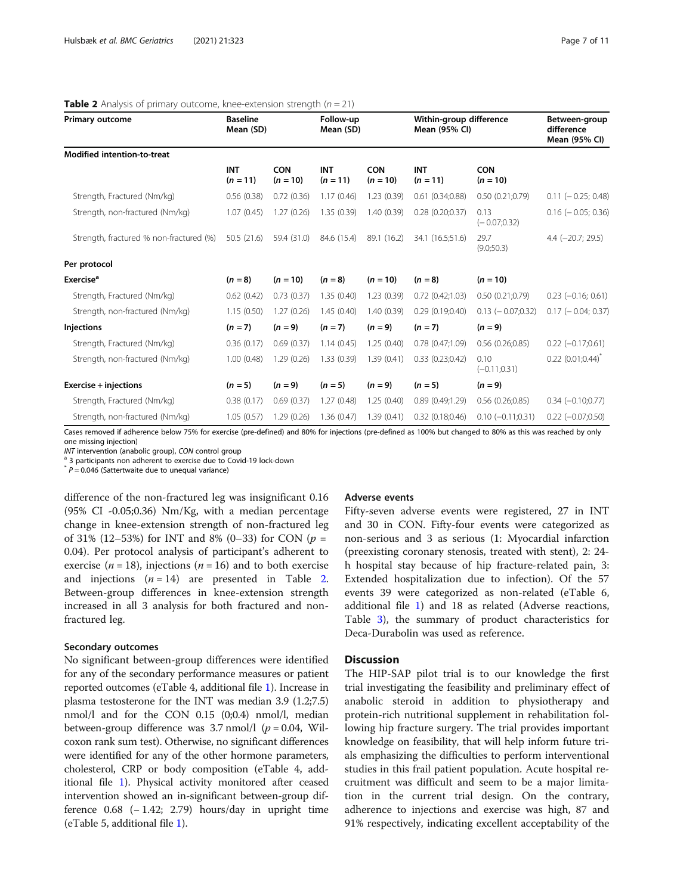| <b>Primary outcome</b>                  | <b>Baseline</b><br>Follow-up<br>Mean (SD)<br>Mean (SD) |                          |                          | Within-group difference<br>Mean (95% CI) |                          | Between-group<br>difference<br>Mean (95% CI) |                                 |  |
|-----------------------------------------|--------------------------------------------------------|--------------------------|--------------------------|------------------------------------------|--------------------------|----------------------------------------------|---------------------------------|--|
| <b>Modified intention-to-treat</b>      |                                                        |                          |                          |                                          |                          |                                              |                                 |  |
|                                         | <b>INT</b><br>$(n = 11)$                               | <b>CON</b><br>$(n = 10)$ | <b>INT</b><br>$(n = 11)$ | <b>CON</b><br>$(n = 10)$                 | <b>INT</b><br>$(n = 11)$ | <b>CON</b><br>$(n = 10)$                     |                                 |  |
| Strength, Fractured (Nm/kg)             | 0.56(0.38)                                             | 0.72(0.36)               | 1.17(0.46)               | 1.23(0.39)                               | 0.61(0.34;0.88)          | 0.50(0.21;0.79)                              | $0.11 (-0.25; 0.48)$            |  |
| Strength, non-fractured (Nm/kg)         | 1.07(0.45)                                             | 1.27(0.26)               | 1.35(0.39)               | 1.40(0.39)                               | 0.28(0.20;0.37)          | 0.13<br>$(-0.07;0.32)$                       | $0.16$ ( $-0.05$ ; 0.36)        |  |
| Strength, fractured % non-fractured (%) | 50.5(21.6)                                             | 59.4 (31.0)              | 84.6 (15.4)              | 89.1 (16.2)                              | 34.1 (16.5;51.6)         | 29.7<br>(9.0;50.3)                           | $4.4$ (-20.7; 29.5)             |  |
| Per protocol                            |                                                        |                          |                          |                                          |                          |                                              |                                 |  |
| Exercise <sup>a</sup>                   | $(n = 8)$                                              | $(n = 10)$               | $(n = 8)$                | $(n = 10)$                               | $(n = 8)$                | $(n = 10)$                                   |                                 |  |
| Strength, Fractured (Nm/kg)             | 0.62(0.42)                                             | 0.73(0.37)               | 1.35(0.40)               | 1.23(0.39)                               | $0.72$ $(0.42;1.03)$     | 0.50(0.21;0.79)                              | $0.23$ (-0.16; 0.61)            |  |
| Strength, non-fractured (Nm/kg)         | 1.15(0.50)                                             | 1.27(0.26)               | 1.45(0.40)               | 1.40(0.39)                               | 0.29(0.19;0.40)          | $0.13 (-0.07; 0.32)$                         | $0.17 (-0.04; 0.37)$            |  |
| <b>Injections</b>                       | $(n = 7)$                                              | $(n = 9)$                | $(n = 7)$                | $(n = 9)$                                | $(n = 7)$                | $(n = 9)$                                    |                                 |  |
| Strength, Fractured (Nm/kg)             | 0.36(0.17)                                             | 0.69(0.37)               | 1.14(0.45)               | 1.25(0.40)                               | 0.78(0.47;1.09)          | $0.56$ $(0.26;0.85)$                         | $0.22$ (-0.17;0.61)             |  |
| Strength, non-fractured (Nm/kg)         | 1.00(0.48)                                             | 1.29(0.26)               | 1.33(0.39)               | 1.39(0.41)                               | 0.33(0.23;0.42)          | 0.10<br>$(-0.11; 0.31)$                      | $0.22$ (0.01;0.44) <sup>*</sup> |  |
| Exercise + injections                   | $(n = 5)$                                              | $(n = 9)$                | $(n = 5)$                | $(n = 9)$                                | $(n = 5)$                | $(n = 9)$                                    |                                 |  |
| Strength, Fractured (Nm/kg)             | 0.38(0.17)                                             | 0.69(0.37)               | 1.27(0.48)               | 1.25(0.40)                               | 0.89(0.49;1.29)          | 0.56(0.26;0.85)                              | $0.34 (-0.10; 0.77)$            |  |
| Strength, non-fractured (Nm/kg)         | 1.05(0.57)                                             | 1.29(0.26)               | 1.36(0.47)               | 1.39(0.41)                               | 0.32(0.18;0.46)          | $0.10 (-0.11; 0.31)$                         | $0.22$ ( $-0.07;0.50$ )         |  |

#### <span id="page-6-0"></span>**Table 2** Analysis of primary outcome, knee-extension strength  $(n = 21)$

Cases removed if adherence below 75% for exercise (pre-defined) and 80% for injections (pre-defined as 100% but changed to 80% as this was reached by only one missing injection)

 $INT$  intervention (anabolic group), CON control group<br><sup>a</sup> 3 participants non adherent to exercise due to Covid-19 lock-down

 $*$   $P = 0.046$  (Sattertwaite due to unequal variance)

difference of the non-fractured leg was insignificant 0.16 (95% CI -0.05;0.36) Nm/Kg, with a median percentage change in knee-extension strength of non-fractured leg of 31% (12–53%) for INT and 8% (0–33) for CON ( $p =$ 0.04). Per protocol analysis of participant's adherent to exercise ( $n = 18$ ), injections ( $n = 16$ ) and to both exercise and injections  $(n = 14)$  are presented in Table 2. Between-group differences in knee-extension strength increased in all 3 analysis for both fractured and nonfractured leg.

## Secondary outcomes

No significant between-group differences were identified for any of the secondary performance measures or patient reported outcomes (eTable 4, additional file [1](#page-8-0)). Increase in plasma testosterone for the INT was median 3.9 (1.2;7.5) nmol/l and for the CON 0.15 (0;0.4) nmol/l, median between-group difference was 3.7 nmol/l ( $p = 0.04$ , Wilcoxon rank sum test). Otherwise, no significant differences were identified for any of the other hormone parameters, cholesterol, CRP or body composition (eTable 4, additional file [1](#page-8-0)). Physical activity monitored after ceased intervention showed an in-significant between-group difference  $0.68$  (− 1.42; 2.79) hours/day in upright time (eTable 5, additional file [1\)](#page-8-0).

#### Adverse events

Fifty-seven adverse events were registered, 27 in INT and 30 in CON. Fifty-four events were categorized as non-serious and 3 as serious (1: Myocardial infarction (preexisting coronary stenosis, treated with stent), 2: 24 h hospital stay because of hip fracture-related pain, 3: Extended hospitalization due to infection). Of the 57 events 39 were categorized as non-related (eTable 6, additional file [1\)](#page-8-0) and 18 as related (Adverse reactions, Table [3](#page-7-0)), the summary of product characteristics for Deca-Durabolin was used as reference.

# **Discussion**

The HIP-SAP pilot trial is to our knowledge the first trial investigating the feasibility and preliminary effect of anabolic steroid in addition to physiotherapy and protein-rich nutritional supplement in rehabilitation following hip fracture surgery. The trial provides important knowledge on feasibility, that will help inform future trials emphasizing the difficulties to perform interventional studies in this frail patient population. Acute hospital recruitment was difficult and seem to be a major limitation in the current trial design. On the contrary, adherence to injections and exercise was high, 87 and 91% respectively, indicating excellent acceptability of the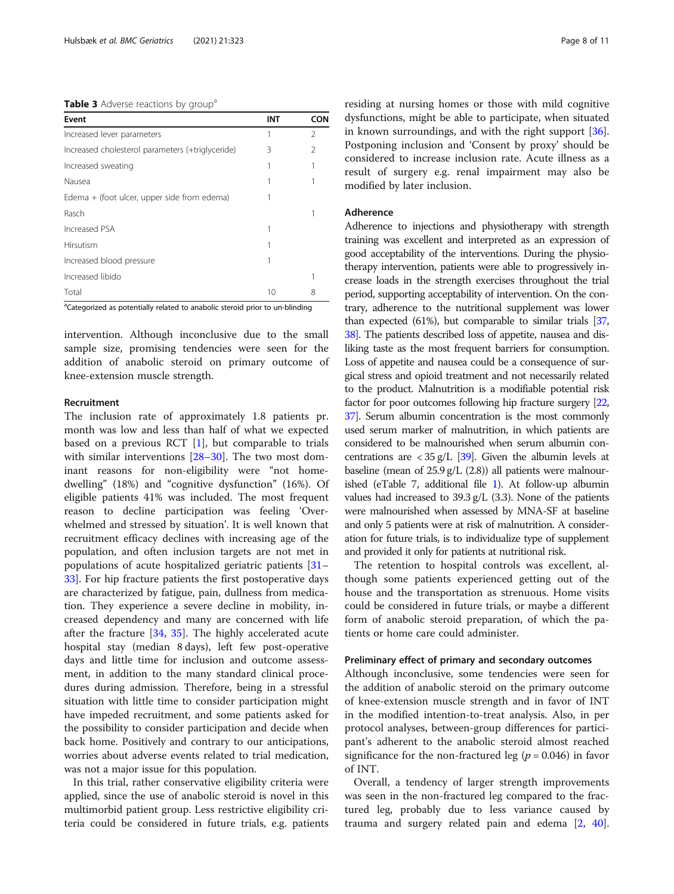<span id="page-7-0"></span>Table 3 Adverse reactions by group<sup>a</sup>

| Event                                            | <b>INT</b> | CON            |
|--------------------------------------------------|------------|----------------|
| Increased lever parameters                       | 1          | $\mathfrak{D}$ |
| Increased cholesterol parameters (+triglyceride) | 3          | $\mathcal{P}$  |
| Increased sweating                               |            |                |
| Nausea                                           |            |                |
| Edema + (foot ulcer, upper side from edema)      |            |                |
| Rasch                                            |            |                |
| Increased PSA                                    |            |                |
| Hirsutism                                        |            |                |
| Increased blood pressure                         |            |                |
| Increased libido                                 |            |                |
| Total                                            | 10         | 8              |

<sup>a</sup>Categorized as potentially related to anabolic steroid prior to un-blinding

intervention. Although inconclusive due to the small sample size, promising tendencies were seen for the addition of anabolic steroid on primary outcome of knee-extension muscle strength.

#### Recruitment

The inclusion rate of approximately 1.8 patients pr. month was low and less than half of what we expected based on a previous RCT  $[1]$  $[1]$ , but comparable to trials with similar interventions [[28](#page-10-0)–[30](#page-10-0)]. The two most dominant reasons for non-eligibility were "not homedwelling" (18%) and "cognitive dysfunction" (16%). Of eligible patients 41% was included. The most frequent reason to decline participation was feeling 'Overwhelmed and stressed by situation'. It is well known that recruitment efficacy declines with increasing age of the population, and often inclusion targets are not met in populations of acute hospitalized geriatric patients [[31](#page-10-0)– [33\]](#page-10-0). For hip fracture patients the first postoperative days are characterized by fatigue, pain, dullness from medication. They experience a severe decline in mobility, increased dependency and many are concerned with life after the fracture [\[34](#page-10-0), [35](#page-10-0)]. The highly accelerated acute hospital stay (median 8 days), left few post-operative days and little time for inclusion and outcome assessment, in addition to the many standard clinical procedures during admission. Therefore, being in a stressful situation with little time to consider participation might have impeded recruitment, and some patients asked for the possibility to consider participation and decide when back home. Positively and contrary to our anticipations, worries about adverse events related to trial medication, was not a major issue for this population.

In this trial, rather conservative eligibility criteria were applied, since the use of anabolic steroid is novel in this multimorbid patient group. Less restrictive eligibility criteria could be considered in future trials, e.g. patients residing at nursing homes or those with mild cognitive dysfunctions, might be able to participate, when situated in known surroundings, and with the right support [\[36](#page-10-0)]. Postponing inclusion and 'Consent by proxy' should be considered to increase inclusion rate. Acute illness as a result of surgery e.g. renal impairment may also be modified by later inclusion.

# Adherence

Adherence to injections and physiotherapy with strength training was excellent and interpreted as an expression of good acceptability of the interventions. During the physiotherapy intervention, patients were able to progressively increase loads in the strength exercises throughout the trial period, supporting acceptability of intervention. On the contrary, adherence to the nutritional supplement was lower than expected (61%), but comparable to similar trials [\[37](#page-10-0), [38](#page-10-0)]. The patients described loss of appetite, nausea and disliking taste as the most frequent barriers for consumption. Loss of appetite and nausea could be a consequence of surgical stress and opioid treatment and not necessarily related to the product. Malnutrition is a modifiable potential risk factor for poor outcomes following hip fracture surgery [\[22](#page-9-0), [37](#page-10-0)]. Serum albumin concentration is the most commonly used serum marker of malnutrition, in which patients are considered to be malnourished when serum albumin concentrations are  $<$  35 g/L [\[39](#page-10-0)]. Given the albumin levels at baseline (mean of  $25.9$  g/L  $(2.8)$ ) all patients were malnourished (eTable 7, additional file [1\)](#page-8-0). At follow-up albumin values had increased to 39.3 g/L (3.3). None of the patients were malnourished when assessed by MNA-SF at baseline and only 5 patients were at risk of malnutrition. A consideration for future trials, is to individualize type of supplement and provided it only for patients at nutritional risk.

The retention to hospital controls was excellent, although some patients experienced getting out of the house and the transportation as strenuous. Home visits could be considered in future trials, or maybe a different form of anabolic steroid preparation, of which the patients or home care could administer.

#### Preliminary effect of primary and secondary outcomes

Although inconclusive, some tendencies were seen for the addition of anabolic steroid on the primary outcome of knee-extension muscle strength and in favor of INT in the modified intention-to-treat analysis. Also, in per protocol analyses, between-group differences for participant's adherent to the anabolic steroid almost reached significance for the non-fractured leg ( $p = 0.046$ ) in favor of INT.

Overall, a tendency of larger strength improvements was seen in the non-fractured leg compared to the fractured leg, probably due to less variance caused by trauma and surgery related pain and edema [\[2](#page-9-0), [40](#page-10-0)].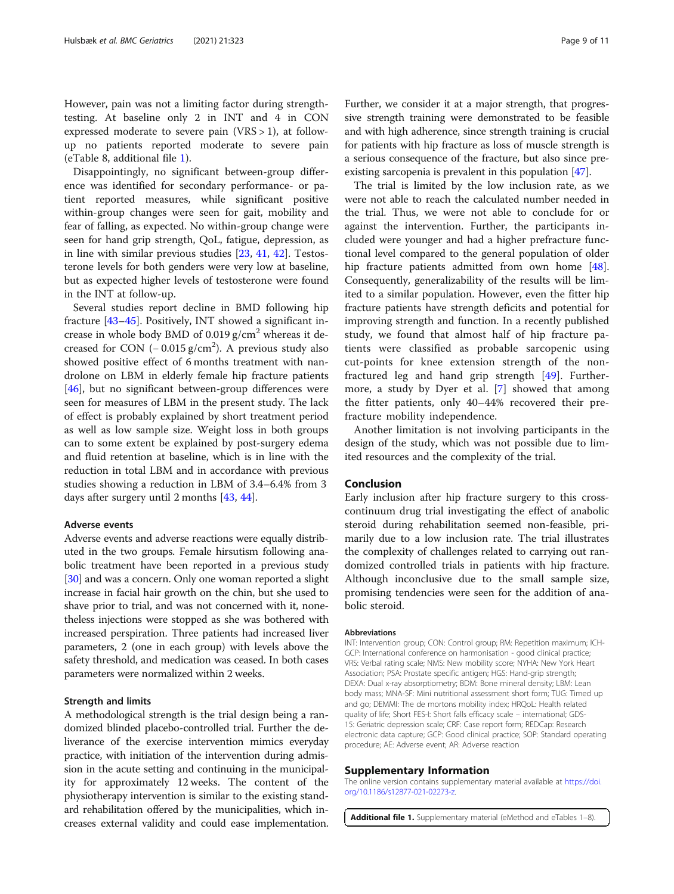<span id="page-8-0"></span>However, pain was not a limiting factor during strengthtesting. At baseline only 2 in INT and 4 in CON expressed moderate to severe pain  $(VRS > 1)$ , at followup no patients reported moderate to severe pain (eTable 8, additional file 1).

Disappointingly, no significant between-group difference was identified for secondary performance- or patient reported measures, while significant positive within-group changes were seen for gait, mobility and fear of falling, as expected. No within-group change were seen for hand grip strength, QoL, fatigue, depression, as in line with similar previous studies [\[23,](#page-10-0) [41](#page-10-0), [42\]](#page-10-0). Testosterone levels for both genders were very low at baseline, but as expected higher levels of testosterone were found in the INT at follow-up.

Several studies report decline in BMD following hip fracture [[43](#page-10-0)–[45](#page-10-0)]. Positively, INT showed a significant increase in whole body BMD of  $0.019$  g/cm<sup>2</sup> whereas it decreased for CON  $(-0.015 \text{ g/cm}^2)$ . A previous study also showed positive effect of 6 months treatment with nandrolone on LBM in elderly female hip fracture patients [[46\]](#page-10-0), but no significant between-group differences were seen for measures of LBM in the present study. The lack of effect is probably explained by short treatment period as well as low sample size. Weight loss in both groups can to some extent be explained by post-surgery edema and fluid retention at baseline, which is in line with the reduction in total LBM and in accordance with previous studies showing a reduction in LBM of 3.4–6.4% from 3 days after surgery until 2 months [[43](#page-10-0), [44](#page-10-0)].

#### Adverse events

Adverse events and adverse reactions were equally distributed in the two groups. Female hirsutism following anabolic treatment have been reported in a previous study [[30](#page-10-0)] and was a concern. Only one woman reported a slight increase in facial hair growth on the chin, but she used to shave prior to trial, and was not concerned with it, nonetheless injections were stopped as she was bothered with increased perspiration. Three patients had increased liver parameters, 2 (one in each group) with levels above the safety threshold, and medication was ceased. In both cases parameters were normalized within 2 weeks.

#### Strength and limits

A methodological strength is the trial design being a randomized blinded placebo-controlled trial. Further the deliverance of the exercise intervention mimics everyday practice, with initiation of the intervention during admission in the acute setting and continuing in the municipality for approximately 12 weeks. The content of the physiotherapy intervention is similar to the existing standard rehabilitation offered by the municipalities, which increases external validity and could ease implementation. Further, we consider it at a major strength, that progressive strength training were demonstrated to be feasible and with high adherence, since strength training is crucial for patients with hip fracture as loss of muscle strength is a serious consequence of the fracture, but also since preexisting sarcopenia is prevalent in this population [\[47\]](#page-10-0).

The trial is limited by the low inclusion rate, as we were not able to reach the calculated number needed in the trial. Thus, we were not able to conclude for or against the intervention. Further, the participants included were younger and had a higher prefracture functional level compared to the general population of older hip fracture patients admitted from own home [\[48](#page-10-0)]. Consequently, generalizability of the results will be limited to a similar population. However, even the fitter hip fracture patients have strength deficits and potential for improving strength and function. In a recently published study, we found that almost half of hip fracture patients were classified as probable sarcopenic using cut-points for knee extension strength of the nonfractured leg and hand grip strength [[49\]](#page-10-0). Furthermore, a study by Dyer et al. [[7\]](#page-9-0) showed that among the fitter patients, only 40–44% recovered their prefracture mobility independence.

Another limitation is not involving participants in the design of the study, which was not possible due to limited resources and the complexity of the trial.

# Conclusion

Early inclusion after hip fracture surgery to this crosscontinuum drug trial investigating the effect of anabolic steroid during rehabilitation seemed non-feasible, primarily due to a low inclusion rate. The trial illustrates the complexity of challenges related to carrying out randomized controlled trials in patients with hip fracture. Although inconclusive due to the small sample size, promising tendencies were seen for the addition of anabolic steroid.

#### **Abbreviations**

INT: Intervention group; CON: Control group; RM: Repetition maximum; ICH-GCP: International conference on harmonisation - good clinical practice; VRS: Verbal rating scale; NMS: New mobility score; NYHA: New York Heart Association; PSA: Prostate specific antigen; HGS: Hand-grip strength; DEXA: Dual x-ray absorptiometry; BDM: Bone mineral density; LBM: Lean body mass; MNA-SF: Mini nutritional assessment short form; TUG: Timed up and go; DEMMI: The de mortons mobility index; HRQoL: Health related quality of life; Short FES-I: Short falls efficacy scale – international; GDS-15: Geriatric depression scale; CRF: Case report form; REDCap: Research electronic data capture; GCP: Good clinical practice; SOP: Standard operating procedure; AE: Adverse event; AR: Adverse reaction

#### Supplementary Information

The online version contains supplementary material available at [https://doi.](https://doi.org/10.1186/s12877-021-02273-z) [org/10.1186/s12877-021-02273-z](https://doi.org/10.1186/s12877-021-02273-z).

Additional file 1. Supplementary material (eMethod and eTables 1-8)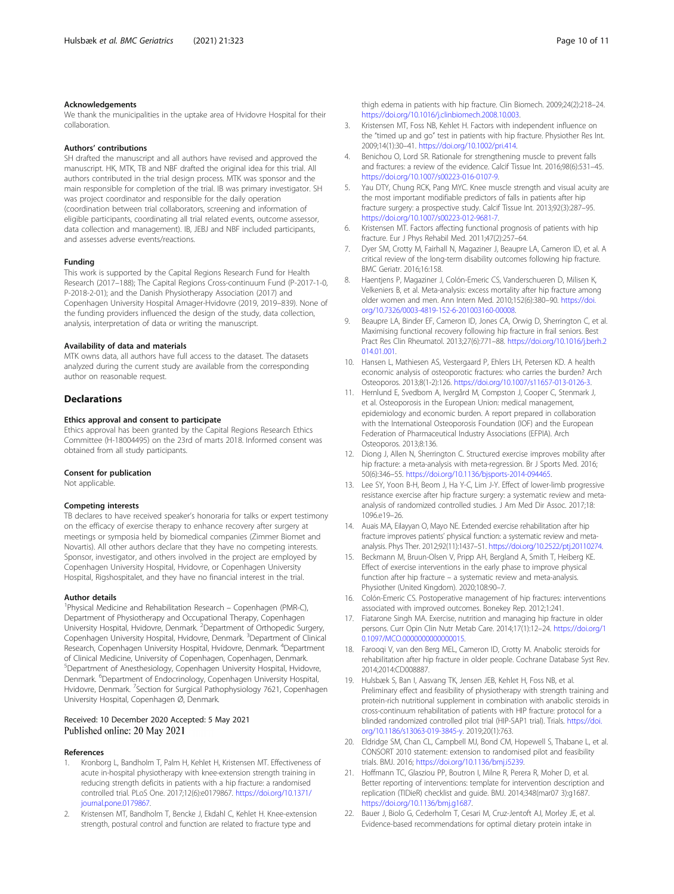#### <span id="page-9-0"></span>Acknowledgements

We thank the municipalities in the uptake area of Hvidovre Hospital for their collaboration.

#### Authors' contributions

SH drafted the manuscript and all authors have revised and approved the manuscript. HK, MTK, TB and NBF drafted the original idea for this trial. All authors contributed in the trial design process. MTK was sponsor and the main responsible for completion of the trial. IB was primary investigator. SH was project coordinator and responsible for the daily operation (coordination between trial collaborators, screening and information of eligible participants, coordinating all trial related events, outcome assessor, data collection and management). IB, JEBJ and NBF included participants, and assesses adverse events/reactions.

#### Funding

This work is supported by the Capital Regions Research Fund for Health Research (2017–188); The Capital Regions Cross-continuum Fund (P-2017-1-0, P-2018-2-01); and the Danish Physiotherapy Association (2017) and Copenhagen University Hospital Amager-Hvidovre (2019, 2019–839). None of the funding providers influenced the design of the study, data collection, analysis, interpretation of data or writing the manuscript.

#### Availability of data and materials

MTK owns data, all authors have full access to the dataset. The datasets analyzed during the current study are available from the corresponding author on reasonable request.

# **Declarations**

## Ethics approval and consent to participate

Ethics approval has been granted by the Capital Regions Research Ethics Committee (H-18004495) on the 23rd of marts 2018. Informed consent was obtained from all study participants.

#### Consent for publication

Not applicable.

#### Competing interests

TB declares to have received speaker's honoraria for talks or expert testimony on the efficacy of exercise therapy to enhance recovery after surgery at meetings or symposia held by biomedical companies (Zimmer Biomet and Novartis). All other authors declare that they have no competing interests. Sponsor, investigator, and others involved in the project are employed by Copenhagen University Hospital, Hvidovre, or Copenhagen University Hospital, Rigshospitalet, and they have no financial interest in the trial.

#### Author details

<sup>1</sup>Physical Medicine and Rehabilitation Research - Copenhagen (PMR-C), Department of Physiotherapy and Occupational Therapy, Copenhagen University Hospital, Hvidovre, Denmark. <sup>2</sup>Department of Orthopedic Surgery, Copenhagen University Hospital, Hvidovre, Denmark. <sup>3</sup>Department of Clinical Research, Copenhagen University Hospital, Hvidovre, Denmark. <sup>4</sup>Department of Clinical Medicine, University of Copenhagen, Copenhagen, Denmark. 5 Department of Anesthesiology, Copenhagen University Hospital, Hvidovre, Denmark. <sup>6</sup>Department of Endocrinology, Copenhagen University Hospital, Hvidovre, Denmark. <sup>7</sup>Section for Surgical Pathophysiology 7621, Copenhagen University Hospital, Copenhagen Ø, Denmark.

#### Received: 10 December 2020 Accepted: 5 May 2021 Published online: 20 May 2021

#### References

- 1. Kronborg L, Bandholm T, Palm H, Kehlet H, Kristensen MT. Effectiveness of acute in-hospital physiotherapy with knee-extension strength training in reducing strength deficits in patients with a hip fracture: a randomised controlled trial. PLoS One. 2017;12(6):e0179867. [https://doi.org/10.1371/](https://doi.org/10.1371/journal.pone.0179867) [journal.pone.0179867](https://doi.org/10.1371/journal.pone.0179867).
- 2. Kristensen MT, Bandholm T, Bencke J, Ekdahl C, Kehlet H. Knee-extension strength, postural control and function are related to fracture type and

thigh edema in patients with hip fracture. Clin Biomech. 2009;24(2):218–24. [https://doi.org/10.1016/j.clinbiomech.2008.10.003.](https://doi.org/10.1016/j.clinbiomech.2008.10.003)

- 3. Kristensen MT, Foss NB, Kehlet H. Factors with independent influence on the "timed up and go" test in patients with hip fracture. Physiother Res Int. 2009;14(1):30–41. <https://doi.org/10.1002/pri.414>.
- 4. Benichou O, Lord SR. Rationale for strengthening muscle to prevent falls and fractures: a review of the evidence. Calcif Tissue Int. 2016;98(6):531–45. <https://doi.org/10.1007/s00223-016-0107-9>.
- 5. Yau DTY, Chung RCK, Pang MYC. Knee muscle strength and visual acuity are the most important modifiable predictors of falls in patients after hip fracture surgery: a prospective study. Calcif Tissue Int. 2013;92(3):287–95. <https://doi.org/10.1007/s00223-012-9681-7>.
- 6. Kristensen MT. Factors affecting functional prognosis of patients with hip fracture. Eur J Phys Rehabil Med. 2011;47(2):257–64.
- 7. Dyer SM, Crotty M, Fairhall N, Magaziner J, Beaupre LA, Cameron ID, et al. A critical review of the long-term disability outcomes following hip fracture. BMC Geriatr. 2016;16:158.
- 8. Haentjens P, Magaziner J, Colón-Emeric CS, Vanderschueren D, Milisen K, Velkeniers B, et al. Meta-analysis: excess mortality after hip fracture among older women and men. Ann Intern Med. 2010;152(6):380–90. [https://doi.](https://doi.org/10.7326/0003-4819-152-6-201003160-00008) [org/10.7326/0003-4819-152-6-201003160-00008](https://doi.org/10.7326/0003-4819-152-6-201003160-00008).
- 9. Beaupre LA, Binder EF, Cameron ID, Jones CA, Orwig D, Sherrington C, et al. Maximising functional recovery following hip fracture in frail seniors. Best Pract Res Clin Rheumatol. 2013;27(6):771–88. [https://doi.org/10.1016/j.berh.2](https://doi.org/10.1016/j.berh.2014.01.001) [014.01.001](https://doi.org/10.1016/j.berh.2014.01.001).
- 10. Hansen L, Mathiesen AS, Vestergaard P, Ehlers LH, Petersen KD. A health economic analysis of osteoporotic fractures: who carries the burden? Arch Osteoporos. 2013;8(1-2):126. [https://doi.org/10.1007/s11657-013-0126-3.](https://doi.org/10.1007/s11657-013-0126-3)
- 11. Hernlund E, Svedbom A, Ivergård M, Compston J, Cooper C, Stenmark J, et al. Osteoporosis in the European Union: medical management, epidemiology and economic burden. A report prepared in collaboration with the International Osteoporosis Foundation (IOF) and the European Federation of Pharmaceutical Industry Associations (EFPIA). Arch Osteoporos. 2013;8:136.
- 12. Diong J, Allen N, Sherrington C. Structured exercise improves mobility after hip fracture: a meta-analysis with meta-regression. Br J Sports Med. 2016; 50(6):346–55. [https://doi.org/10.1136/bjsports-2014-094465.](https://doi.org/10.1136/bjsports-2014-094465)
- 13. Lee SY, Yoon B-H, Beom J, Ha Y-C, Lim J-Y. Effect of lower-limb progressive resistance exercise after hip fracture surgery: a systematic review and metaanalysis of randomized controlled studies. J Am Med Dir Assoc. 2017;18: 1096.e19–26.
- 14. Auais MA, Eilayyan O, Mayo NE. Extended exercise rehabilitation after hip fracture improves patients' physical function: a systematic review and metaanalysis. Phys Ther. 2012;92(11):1437–51. [https://doi.org/10.2522/ptj.20110274.](https://doi.org/10.2522/ptj.20110274)
- 15. Beckmann M, Bruun-Olsen V, Pripp AH, Bergland A, Smith T, Heiberg KE. Effect of exercise interventions in the early phase to improve physical function after hip fracture – a systematic review and meta-analysis. Physiother (United Kingdom). 2020;108:90–7.
- 16. Colón-Emeric CS. Postoperative management of hip fractures: interventions associated with improved outcomes. Bonekey Rep. 2012;1:241.
- 17. Fiatarone Singh MA. Exercise, nutrition and managing hip fracture in older persons. Curr Opin Clin Nutr Metab Care. 2014;17(1):12–24. [https://doi.org/1](https://doi.org/10.1097/MCO.0000000000000015) 0.1097/MCQ.00000000000000015
- 18. Farooqi V, van den Berg MEL, Cameron ID, Crotty M. Anabolic steroids for rehabilitation after hip fracture in older people. Cochrane Database Syst Rev. 2014;2014:CD008887.
- 19. Hulsbæk S, Ban I, Aasvang TK, Jensen JEB, Kehlet H, Foss NB, et al. Preliminary effect and feasibility of physiotherapy with strength training and protein-rich nutritional supplement in combination with anabolic steroids in cross-continuum rehabilitation of patients with HIP fracture: protocol for a blinded randomized controlled pilot trial (HIP-SAP1 trial). Trials. [https://doi.](https://doi.org/10.1186/s13063-019-3845-y) [org/10.1186/s13063-019-3845-y.](https://doi.org/10.1186/s13063-019-3845-y) 2019;20(1):763.
- 20. Eldridge SM, Chan CL, Campbell MJ, Bond CM, Hopewell S, Thabane L, et al. CONSORT 2010 statement: extension to randomised pilot and feasibility trials. BMJ. 2016; [https://doi.org/10.1136/bmj.i5239.](https://doi.org/10.1136/bmj.i5239)
- 21. Hoffmann TC, Glasziou PP, Boutron I, Milne R, Perera R, Moher D, et al. Better reporting of interventions: template for intervention description and replication (TIDieR) checklist and guide. BMJ. 2014;348(mar07 3):g1687. [https://doi.org/10.1136/bmj.g1687.](https://doi.org/10.1136/bmj.g1687)
- 22. Bauer J, Biolo G, Cederholm T, Cesari M, Cruz-Jentoft AJ, Morley JE, et al. Evidence-based recommendations for optimal dietary protein intake in